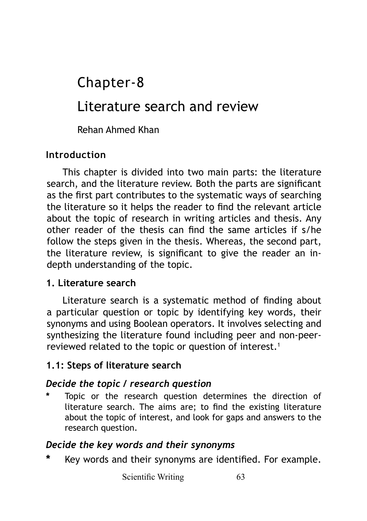# Literature search and review Chapter-8

Rehan Ahmed Khan

## **Introduction**

This chapter is divided into two main parts: the literature search, and the literature review. Both the parts are significant as the first part contributes to the systematic ways of searching the literature so it helps the reader to find the relevant article about the topic of research in writing articles and thesis. Any other reader of the thesis can find the same articles if s/he follow the steps given in the thesis. Whereas, the second part, the literature review, is significant to give the reader an indepth understanding of the topic.

#### **1. Literature search**

Literature search is a systematic method of finding about a particular question or topic by identifying key words, their synonyms and using Boolean operators. It involves selecting and synthesizing the literature found including peer and non-peerreviewed related to the topic or question of interest.<sup>1</sup>

## **1.1: Steps of literature search**

## *Decide the topic / research question*

Topic or the research question determines the direction of literature search. The aims are; to find the existing literature about the topic of interest, and look for gaps and answers to the research question.

#### *Decide the key words and their synonyms*

**\*** Key words and their synonyms are identified. For example.

Scientific Writing 63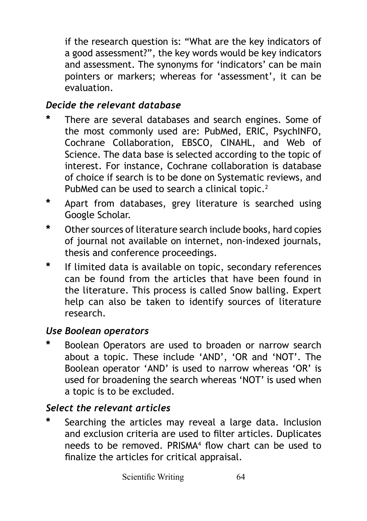if the research question is: "What are the key indicators of a good assessment?", the key words would be key indicators and assessment. The synonyms for 'indicators' can be main pointers or markers; whereas for 'assessment', it can be evaluation.

## *Decide the relevant database*

- **\*** There are several databases and search engines. Some of the most commonly used are: PubMed, ERIC, PsychINFO, Cochrane Collaboration, EBSCO, CINAHL, and Web of Science. The data base is selected according to the topic of interest. For instance, Cochrane collaboration is database of choice if search is to be done on Systematic reviews, and PubMed can be used to search a clinical topic.<sup>2</sup>
- **\*** Apart from databases, grey literature is searched using Google Scholar.
- **\*** Other sources of literature search include books, hard copies of journal not available on internet, non-indexed journals, thesis and conference proceedings.
- **\*** If limited data is available on topic, secondary references can be found from the articles that have been found in the literature. This process is called Snow balling. Expert help can also be taken to identify sources of literature research.

## *Use Boolean operators*

**\*** Boolean Operators are used to broaden or narrow search about a topic. These include 'AND', 'OR and 'NOT'. The Boolean operator 'AND' is used to narrow whereas 'OR' is used for broadening the search whereas 'NOT' is used when a topic is to be excluded.

## *Select the relevant articles*

**\*** Searching the articles may reveal a large data. Inclusion and exclusion criteria are used to filter articles. Duplicates needs to be removed. PRISMA<sup>4</sup> flow chart can be used to finalize the articles for critical appraisal.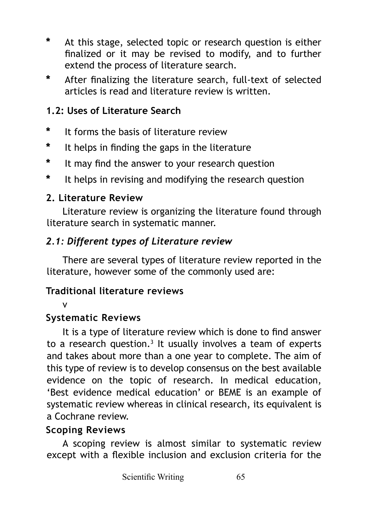- **\*** At this stage, selected topic or research question is either finalized or it may be revised to modify, and to further extend the process of literature search.
- **\*** After finalizing the literature search, full-text of selected articles is read and literature review is written.

#### **1.2: Uses of Literature Search**

- **\*** It forms the basis of literature review
- **\*** It helps in finding the gaps in the literature
- **\*** It may find the answer to your research question
- **\*** It helps in revising and modifying the research question

#### **2. Literature Review**

Literature review is organizing the literature found through literature search in systematic manner.

#### *2.1: Different types of Literature review*

There are several types of literature review reported in the literature, however some of the commonly used are:

#### **Traditional literature reviews**

#### v

## **Systematic Reviews**

It is a type of literature review which is done to find answer to a research question.<sup>3</sup> It usually involves a team of experts and takes about more than a one year to complete. The aim of this type of review is to develop consensus on the best available evidence on the topic of research. In medical education, 'Best evidence medical education' or BEME is an example of systematic review whereas in clinical research, its equivalent is a Cochrane review.

## **Scoping Reviews**

A scoping review is almost similar to systematic review except with a flexible inclusion and exclusion criteria for the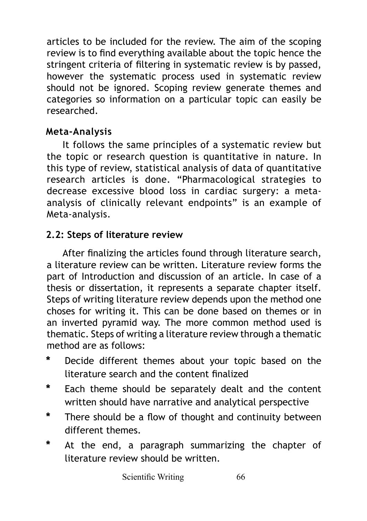articles to be included for the review. The aim of the scoping review is to find everything available about the topic hence the stringent criteria of filtering in systematic review is by passed, however the systematic process used in systematic review should not be ignored. Scoping review generate themes and categories so information on a particular topic can easily be researched.

## **Meta-Analysis**

It follows the same principles of a systematic review but the topic or research question is quantitative in nature. In this type of review, statistical analysis of data of quantitative research articles is done. "Pharmacological strategies to decrease excessive blood loss in cardiac surgery: a metaanalysis of clinically relevant endpoints" is an example of Meta-analysis.

## **2.2: Steps of literature review**

After finalizing the articles found through literature search, a literature review can be written. Literature review forms the part of Introduction and discussion of an article. In case of a thesis or dissertation, it represents a separate chapter itself. Steps of writing literature review depends upon the method one choses for writing it. This can be done based on themes or in an inverted pyramid way. The more common method used is thematic. Steps of writing a literature review through a thematic method are as follows:

- **\*** Decide different themes about your topic based on the literature search and the content finalized
- **\*** Each theme should be separately dealt and the content written should have narrative and analytical perspective
- **\*** There should be a flow of thought and continuity between different themes.
- **\*** At the end, a paragraph summarizing the chapter of literature review should be written.